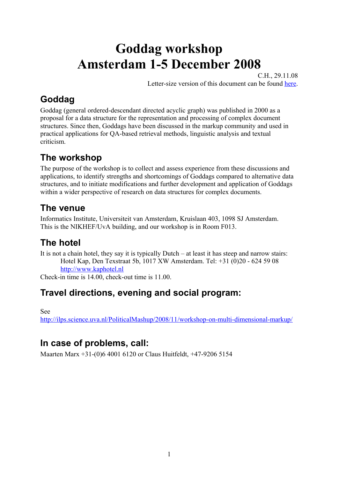# **Goddag workshop Amsterdam 1-5 December 2008**

C.H., 29.11.08 Letter-size version of this document can be found [here.](http://decentius.aksis.uib.no/mlcd/2008/Ams/Ams-Prog03-letter.pdf)

# **Goddag**

Goddag (general ordered-descendant directed acyclic graph) was published in 2000 as a proposal for a data structure for the representation and processing of complex document structures. Since then, Goddags have been discussed in the markup community and used in practical applications for QA-based retrieval methods, linguistic analysis and textual criticism.

# **The workshop**

The purpose of the workshop is to collect and assess experience from these discussions and applications, to identify strengths and shortcomings of Goddags compared to alternative data structures, and to initiate modifications and further development and application of Goddags within a wider perspective of research on data structures for complex documents.

### **The venue**

Informatics Institute, Universiteit van Amsterdam, Kruislaan 403, 1098 SJ Amsterdam. This is the NIKHEF/UvA building, and our workshop is in Room F013.

# **The hotel**

It is not a chain hotel, they say it is typically Dutch – at least it has steep and narrow stairs: Hotel Kap, Den Texstraat 5b, 1017 XW Amsterdam. Tel: +31 (0)20 - 624 59 08 [http://www.kaphotel.nl](http://www.kaphotel.nl/)

Check-in time is 14.00, check-out time is 11.00.

## **Travel directions, evening and social program:**

See

<http://ilps.science.uva.nl/PoliticalMashup/2008/11/workshop-on-multi-dimensional-markup/>

## **In case of problems, call:**

Maarten Marx +31-(0)6 4001 6120 or Claus Huitfeldt, +47-9206 5154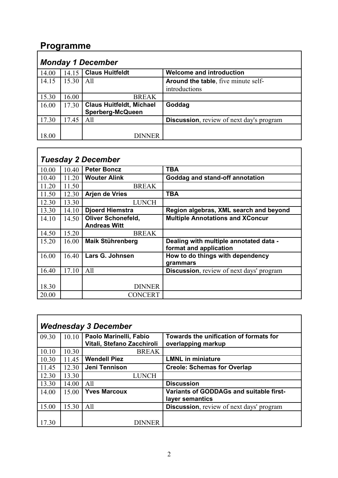## **Programme**

| <b>Monday 1 December</b> |       |                                 |                                                  |  |
|--------------------------|-------|---------------------------------|--------------------------------------------------|--|
| 14.00                    | 14.15 | <b>Claus Huitfeldt</b>          | <b>Welcome and introduction</b>                  |  |
| 14.15                    | 15.30 | All                             | <b>Around the table, five minute self-</b>       |  |
|                          |       |                                 | introductions                                    |  |
| 15.30                    | 16.00 | <b>BREAK</b>                    |                                                  |  |
| 16.00                    | 17.30 | <b>Claus Huitfeldt, Michael</b> | Goddag                                           |  |
|                          |       | <b>Sperberg-McQueen</b>         |                                                  |  |
| 17.30                    | 17.45 | All                             | <b>Discussion</b> , review of next day's program |  |
|                          |       |                                 |                                                  |  |
| 18.00                    |       | <b>DINNER</b>                   |                                                  |  |

| <b>Tuesday 2 December</b> |       |                           |                                                  |
|---------------------------|-------|---------------------------|--------------------------------------------------|
| 10.00                     | 10.40 | <b>Peter Boncz</b>        | <b>TBA</b>                                       |
| 10.40                     | 11.20 | <b>Wouter Alink</b>       | Goddag and stand-off annotation                  |
| 11.20                     | 11.50 | <b>BREAK</b>              |                                                  |
| 11.50                     | 12.30 | <b>Arjen de Vries</b>     | <b>TBA</b>                                       |
| 12.30                     | 13.30 | <b>LUNCH</b>              |                                                  |
| 13.30                     | 14.10 | <b>Djoerd Hiemstra</b>    | Region algebras, XML search and beyond           |
| 14.10                     | 14.50 | <b>Oliver Schonefeld,</b> | <b>Multiple Annotations and XConcur</b>          |
|                           |       | <b>Andreas Witt</b>       |                                                  |
| 14.50                     | 15.20 | <b>BREAK</b>              |                                                  |
| 15.20                     | 16.00 | <b>Maik Stührenberg</b>   | Dealing with multiple annotated data -           |
|                           |       |                           | format and application                           |
| 16.00                     | 16.40 | Lars G. Johnsen           | How to do things with dependency                 |
|                           |       |                           | grammars                                         |
| 16.40                     | 17.10 | All                       | <b>Discussion</b> , review of next days' program |
|                           |       |                           |                                                  |
| 18.30                     |       | <b>DINNER</b>             |                                                  |
| 20.00                     |       | <b>CONCERT</b>            |                                                  |

| <b>Wednesday 3 December</b> |       |                            |                                                  |  |
|-----------------------------|-------|----------------------------|--------------------------------------------------|--|
| 09.30                       | 10.10 | Paolo Marinelli, Fabio     | Towards the unification of formats for           |  |
|                             |       | Vitali, Stefano Zacchiroli | overlapping markup                               |  |
| 10.10                       | 10.30 | <b>BREAK</b>               |                                                  |  |
| 10.30                       | 11.45 | <b>Wendell Piez</b>        | <b>LMNL</b> in miniature                         |  |
| 11.45                       | 12.30 | Jeni Tennison              | <b>Creole: Schemas for Overlap</b>               |  |
| 12.30                       | 13.30 | LUNCH                      |                                                  |  |
| 13.30                       | 14.00 | All                        | <b>Discussion</b>                                |  |
| 14.00                       | 15.00 | <b>Yves Marcoux</b>        | Variants of GODDAGs and suitable first-          |  |
|                             |       |                            | layer semantics                                  |  |
| 15.00                       | 15.30 | All                        | <b>Discussion</b> , review of next days' program |  |
|                             |       |                            |                                                  |  |
| 17.30                       |       | DINNER                     |                                                  |  |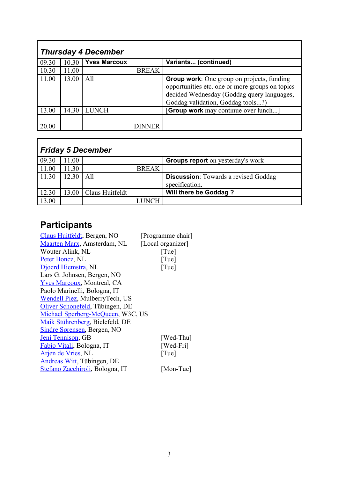| <b>Thursday 4 December</b> |       |                     |              |                                                                                                                                                                                         |
|----------------------------|-------|---------------------|--------------|-----------------------------------------------------------------------------------------------------------------------------------------------------------------------------------------|
| 09.30                      | 10.30 | <b>Yves Marcoux</b> |              | Variants (continued)                                                                                                                                                                    |
| 10.30                      | 11.00 |                     | <b>BREAK</b> |                                                                                                                                                                                         |
| 11.00                      | 13.00 | A11                 |              | <b>Group work:</b> One group on projects, funding<br>opportunities etc. one or more groups on topics<br>decided Wednesday (Goddag query languages,<br>Goddag validation, Goddag tools?) |
| 13.00                      | 14.30 | <b>LUNCH</b>        |              | <b>Group work</b> may continue over lunch]                                                                                                                                              |
| 20.00                      |       |                     | DINNER       |                                                                                                                                                                                         |

| <b>Friday 5 December</b> |       |                 |              |                                             |
|--------------------------|-------|-----------------|--------------|---------------------------------------------|
| 09.30                    | 11.00 |                 |              | <b>Groups report</b> on yesterday's work    |
| 11.00                    | 11.30 |                 | <b>BREAK</b> |                                             |
| 11.30                    | 12.30 | All             |              | <b>Discussion:</b> Towards a revised Goddag |
|                          |       |                 |              | specification.                              |
| 12.30                    | 13.00 | Claus Huitfeldt |              | <b>Will there be Goddag?</b>                |
| 13.00                    |       |                 | <b>INCH</b>  |                                             |

# **Participants**

| Claus Huitfeldt, Bergen, NO        | [Programme chair] |
|------------------------------------|-------------------|
| Maarten Marx, Amsterdam, NL        | [Local organizer] |
| Wouter Alink, NL                   | [True]            |
| Peter Boncz, NL                    | [True]            |
| Djoerd Hiemstra, NL                | [True]            |
| Lars G. Johnsen, Bergen, NO        |                   |
| <b>Yves Marcoux</b> , Montreal, CA |                   |
| Paolo Marinelli, Bologna, IT       |                   |
| Wendell Piez, MulberryTech, US     |                   |
| Oliver Schonefeld, Tübingen, DE    |                   |
| Michael Sperberg-McQueen, W3C, US  |                   |
| Maik Stührenberg, Bielefeld, DE    |                   |
| Sindre Sørensen, Bergen, NO        |                   |
| Jeni Tennison, GB                  | [Wed-Thu]         |
| Fabio Vitali, Bologna, IT          | [Wed-Fri]         |
| <b>Arjen de Vries</b> , NL         | [True]            |
| <b>Andreas Witt</b> , Tübingen, DE |                   |
| Stefano Zacchiroli, Bologna, IT    | [Mon-Tue]         |